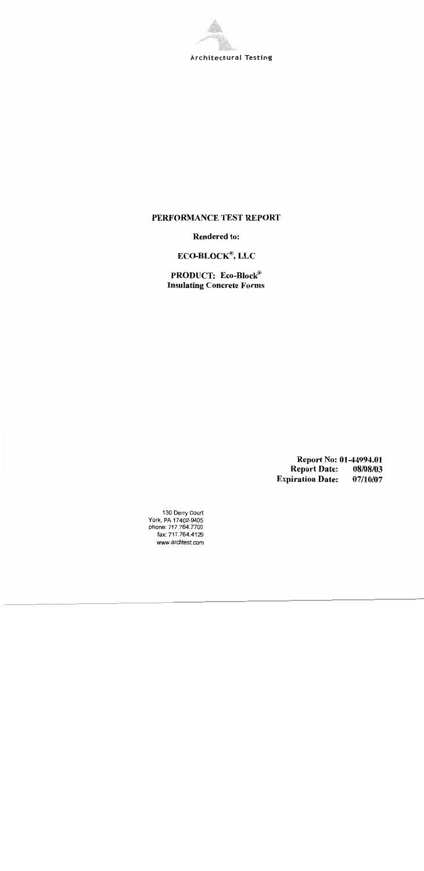

#### PERFORMANCE TEST REPORT

**Rendered to:** 

## $ECO-BLOCK^{\circledast}$ , LLC

PRODUCT: Eco-Block® **Insulating Concrete Forms** 

> Report No: 01-44994.01 **Report Date:** 08/08/03 **Expiration Date:** 07/10/07

130 Derry Court<br>York, PA 17402-9405 phone: 717.764.7700 fax: 717.764.4129 www.archtest.com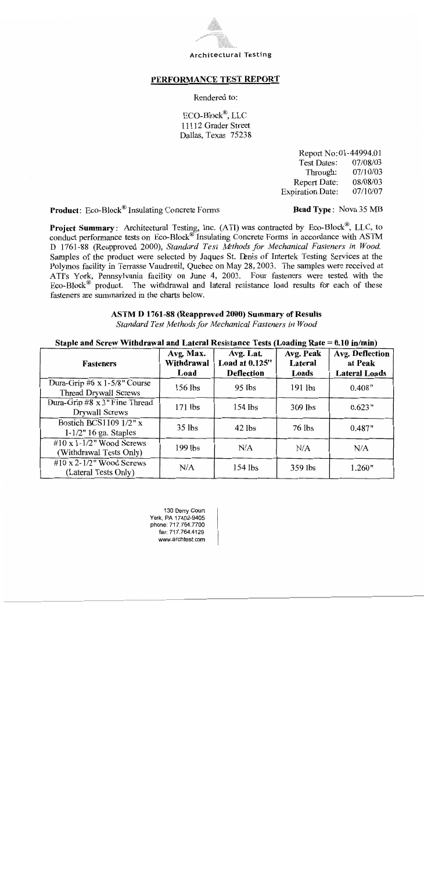

#### PERFORMANCE TEST REPORT

Rendered to:

ECO-Block®, LLC 11112 Grader Street Dallas, Texas 75238

> Report No:01-44994.01 **Test Dates:** 07/08/03 Through: 07/10/03 **Report Date:** 08/08/03 **Expiration Date:** 07/10/07

**Product:** Eco-Block<sup>®</sup> Insulating Concrete Forms

#### **Bead Type: Nova 35 MB**

Project Summary: Architectural Testing, Inc. (ATI) was contracted by Eco-Block®, LLC, to conduct performance tests on Eco-Block<sup>®</sup> Insulating Concrete Forms in accordance with ASTM D 1761-88 (Reapproved 2000), Standard Test Methods for Mechanical Fasteners in Wood. Samples of the product were selected by Jaques St. Denis of Intertek Testing Services at the Polymos facility in Terrasse Vaudreuil, Quebec on May 28, 2003. The samples were received at ATI's York, Pennsylvania facility on June 4, 2003. Four fasteners were tested with the  $Eco-Block^{\circledR}$  product. The withdrawal and lateral resistance load results for each of these fasteners are summarized in the charts below.

#### ASTM D 1761-88 (Reapproved 2000) Summary of Results

Standard Test Methods for Mechanical Fasteners in Wood

#### Staple and Screw Withdrawal and Lateral Resistance Tests (Loading Rate = 0.10 in/min)

| <b>Fasteners</b>                                               | Avg. Max.<br>Withdrawal<br>Load | Avg. Lat.<br>Load at 0.125"<br><b>Deflection</b> | Avg. Peak<br>Lateral<br>Loads | <b>Avg. Deflection</b><br>at Peak<br><b>Lateral Loads</b> |
|----------------------------------------------------------------|---------------------------------|--------------------------------------------------|-------------------------------|-----------------------------------------------------------|
| Dura-Grip #6 $x$ 1-5/8" Course<br><b>Thread Drywall Screws</b> | $156$ lbs                       | $95$ lbs                                         | $191$ lbs                     | 0.408"                                                    |
| Dura-Grip #8 x 3" Fine Thread<br>Drywall Screws                | $171$ lbs                       | $154$ lbs                                        | 309 lbs                       | 0.623"                                                    |
| Bostich BCS1109 1/2" x<br>$1-1/2$ " 16 ga. Staples             | $35$ lbs                        | $42$ lbs                                         | $76$ lbs                      | 0.487"                                                    |
| #10 x 1-1/2" Wood Screws<br>(Withdrawal Tests Only)            | 199 lbs                         | N/A                                              | N/A                           | N/A                                                       |
| #10 x 2-1/2" Wood Screws<br>(Lateral Tests Only)               | N/A                             | $154$ lbs                                        | 359 lbs                       | 1.260"                                                    |

130 Derry Court York, PA 17402-9405 phone: 717.764.7700 fax: 717.764.4129 www.archtest.com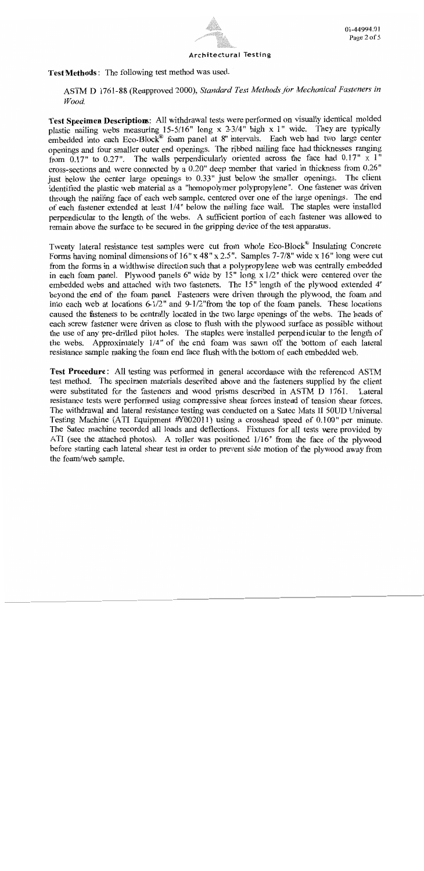

**Test Methods:** The following test method was used.

ASTM D 1761-88 (Reapproved 2000), Standard Test Methods for Mechanical Fasteners in Wood.

Test Specimen Descriptions: All withdrawal tests were performed on visually identical molded plastic nailing webs measuring 15-5/16" long x  $2-3/4$ " high x 1" wide. They are typically embedded into each Eco-Block<sup>®</sup> foam panel at 8" intervals. Each web had two large center openings and four smaller outer end openings. The ribbed nailing face had thicknesses ranging from 0.17" to 0.27". The walls perpendicularly oriented across the face had  $0.17$ " x  $1$ " cross-sections and were connected by a 0.20" deep member that varied in thickness from 0.26" just below the center large openings to 0.33" just below the smaller openings. The client identified the plastic web material as a "homopolymer polypropylene". One fastener was driven through the nailing face of each web sample, centered over one of the large openings. The end of each fastener extended at least 1/4" below the nailing face wall. The staples were installed perpendicular to the length of the webs. A sufficient portion of each fastener was allowed to remain above the surface to be secured in the gripping device of the test apparatus.

Twenty lateral resistance test samples were cut from whole Eco-Block® Insulating Concrete Forms having nominal dimensions of 16" x 48" x 2.5". Samples 7-7/8" wide x 16" long were cut from the forms in a widthwise direction such that a polypropylene web was centrally embedded in each foam panel. Plywood panels 6" wide by  $15$ " long  $\frac{x}{2}$  thick were centered over the embedded webs and attached with two fasteners. The 15" length of the plywood extended 4" beyond the end of the foam panel. Fasteners were driven through the plywood, the foam and into each web at locations  $6\frac{1}{2}$ " and  $9\frac{1}{2}$ " from the top of the foam panels. These locations caused the fasteners to be centrally located in the two large openings of the webs. The heads of each screw fastener were driven as close to flush with the plywood surface as possible without the use of any pre-drilled pilot holes. The staples were installed perpendicular to the length of the webs. Approximately 1/4" of the end foam was sawn off the bottom of each lateral resistance sample making the foam end face flush with the bottom of each embedded web.

Test Procedure: All testing was performed in general accordance with the referenced ASTM test method. The specimen materials described above and the fasteners supplied by the client were substituted for the fasteners and wood prisms described in ASTM D 1761. Lateral resistance tests were performed using compressive shear forces instead of tension shear forces. The withdrawal and lateral resistance testing was conducted on a Satec Mats II 50UD Universal Testing Machine (ATI Equipment #Y002011) using a crosshead speed of 0.100" per minute. The Satec machine recorded all loads and deflections. Fixtures for all tests were provided by ATI (see the attached photos). A roller was positioned 1/16" from the face of the plywood before starting each lateral shear test in order to prevent side motion of the plywood away from the foam/web sample.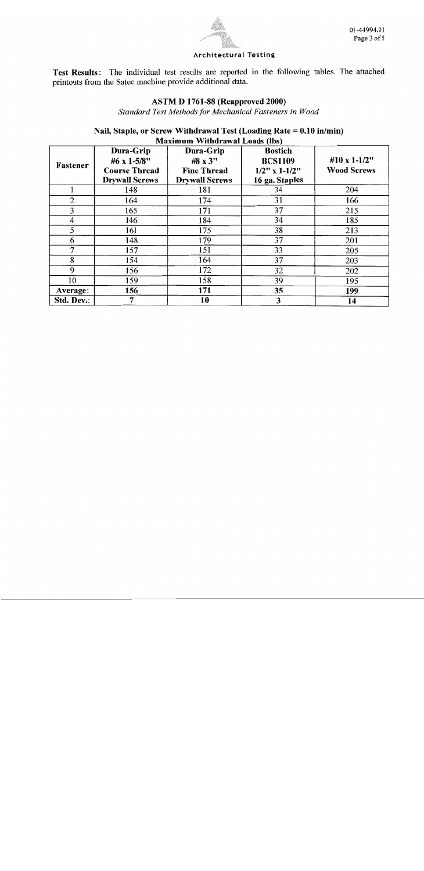

Test Results: The individual test results are reported in the following tables. The attached printouts from the Satec machine provide additional data.

### **ASTM D 1761-88 (Reapproved 2000)**

Standard Test Methods for Mechanical Fasteners in Wood

#### Nail, Staple, or Screw Withdrawal Test (Loading Rate = 0.10 in/min) Maximum Withdrawal Loads (lhs)

|            |                       | <b>Maximum William and Lougs (1997</b> |                     |                    |
|------------|-----------------------|----------------------------------------|---------------------|--------------------|
|            | Dura-Grip             | Dura-Grip                              | <b>Bostich</b>      |                    |
| Fastener   | #6 x 1-5/8"           | #8 x 3"                                | <b>BCS1109</b>      | #10 x 1-1/2"       |
|            | <b>Course Thread</b>  | <b>Fine Thread</b>                     | $1/2$ " x $1-1/2$ " | <b>Wood Screws</b> |
|            | <b>Drywall Screws</b> | <b>Drywall Screws</b>                  | 16 ga. Staples      |                    |
|            | 148                   | 181                                    | 34                  | 204                |
| 2          | 164                   | 174                                    | 31                  | 166                |
| 3          | 165                   | 171                                    | 37                  | 215                |
| 4          | 146                   | 184                                    | 34                  | 185                |
| 5          | 161                   | 175                                    | 38                  | 213                |
| 6          | 148                   | 179                                    | 37                  | 201                |
| 7          | 157                   | 151                                    | 33                  | 205                |
| 8          | 154                   | 164                                    | 37                  | 203                |
| 9          | 156                   | 172                                    | 32                  | 202                |
| 10         | 159                   | 158                                    | 39                  | 195                |
| Average:   | 156                   | 171                                    | 35                  | 199                |
| Std. Dev.: | 7                     | 10                                     | 3                   | 14                 |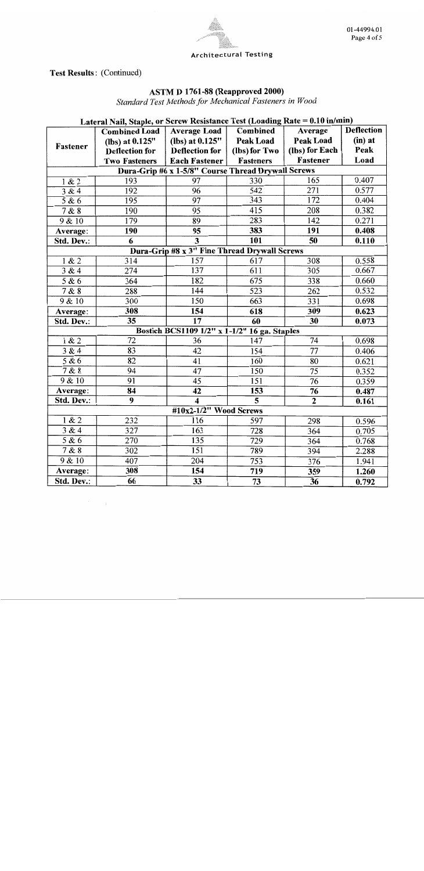

**Test Results: (Continued)** 

### ASTM D 1761-88 (Reapproved 2000)

Standard Test Methods for Mechanical Fasteners in Wood

## Lateral Nail, Staple, or Screw Resistance Test (Loading Rate = 0.10 in/min)

|                   | <b>Combined Load</b>  | <b>Average Load</b>                                | Combined         | Average          | <b>Deflection</b> |
|-------------------|-----------------------|----------------------------------------------------|------------------|------------------|-------------------|
| Fastener          | (lbs) at $0.125"$     | (lbs) at $0.125"$                                  | <b>Peak Load</b> | Peak Load        | $(in)$ at         |
|                   | <b>Deflection for</b> | <b>Deflection for</b>                              | (lbs) for Two    | (lbs) for Each   | Peak              |
|                   | <b>Two Fasteners</b>  | <b>Each Fastener</b>                               | Fasteners        | Fastener         | Load              |
|                   |                       | Dura-Grip #6 x 1-5/8" Course Thread Drywall Screws |                  |                  |                   |
| 1 & 2             | 193                   | 97                                                 | 330              | 165              | 0.407             |
| 3 & 4             | 192                   | $\overline{96}$                                    | $\overline{542}$ | 271              | 0.577             |
| $\overline{58}$ 6 | 195                   | $\overline{97}$                                    | $\overline{343}$ | 172              | 0.404             |
| 7 & 8             | 190                   | 95                                                 | 415              | 208              | 0.382             |
| 9 & 10            | 179                   | 89                                                 | 283              | 142              | 0.271             |
| Average:          | 190                   | 95                                                 | 383              | 191              | 0.408             |
| Std. Dev.:        | 6                     | $\overline{\mathbf{3}}$                            | <b>101</b>       | $\overline{50}$  | 0.110             |
|                   |                       | Dura-Grip #8 x 3" Fine Thread Drywall Screws       |                  |                  |                   |
| 1 & 2             | 314                   | 157                                                | $\overline{617}$ | 308              | 0.558             |
| 3 & 4             | $\overline{274}$      | $\overline{137}$                                   | 611              | $\overline{305}$ | 0.667             |
| 5 & 6             | $\overline{364}$      | 182                                                | 675              | 338              | 0.660             |
| 7 & 8             | 288                   | 144                                                | $\overline{523}$ | $\overline{262}$ | 0.532             |
| 9 & 10            | 300                   | 150                                                | 663              | 331              | 0.698             |
| Average:          | 308                   | 154                                                | 618              | 309              | 0.623             |
| Std. Dev.:        | $\overline{35}$       | $\overline{17}$                                    | $\overline{60}$  | $\overline{30}$  | 0.073             |
|                   |                       | Bostich BCS1109 1/2" x 1-1/2" 16 ga. Staples       |                  |                  |                   |
| 1 & 2             | $\overline{72}$       | 36                                                 | 147              | 74               | 0.698             |
| 3 & 4             | 83                    | 42                                                 | 154              | $\overline{77}$  | 0.406             |
| 5 & 6             | $\overline{82}$       | 41                                                 | 160              | 80               | 0.621             |
| 7 & 8             | $\overline{94}$       | 47                                                 | 150              | $\overline{75}$  | 0.352             |
| 9 & 10            | 91                    | $\overline{45}$                                    | 151              | $\overline{76}$  | 0.359             |
| Average:          | $\overline{84}$       | $\overline{42}$                                    | 153              | $\overline{76}$  | 0.487             |
| Std. Dev.:        | $\overline{9}$        | $\overline{\bf{4}}$                                | $\overline{5}$   | $\overline{2}$   | 0.161             |
|                   |                       | #10x2-1/2" Wood Screws                             |                  |                  |                   |
| 1 & 2             | 232                   | 116                                                | 597              | 298              | 0.596             |
| 3 & 4             | 327                   | 163                                                | 728              | 364              | 0.705             |
| 5 & 6             | 270                   | 135                                                | 729              | 364              | 0.768             |
| 7 & 8             | 302                   | $\overline{151}$                                   | 789              | 394              | 2.288             |
| 9 & 10            | $\overline{407}$      | 204                                                | 753              | 376              | 1.941             |
| Average:          | 308                   | 154                                                | 719              | 359              | 1.260             |
| Std. Dev.:        | 66                    | 33                                                 | $\overline{73}$  | $\overline{36}$  | 0.792             |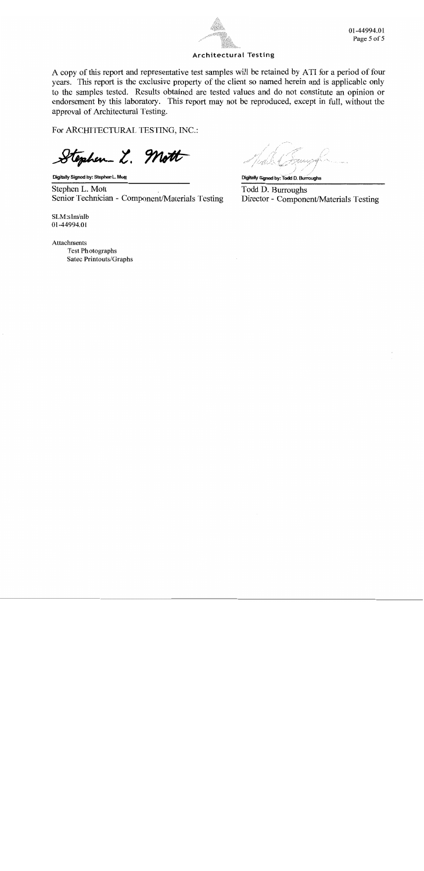

01-44994.01 Page 5 of 5

#### **Architectural Testing**

A copy of this report and representative test samples will be retained by ATI for a period of four years. This report is the exclusive property of the client so named herein and is applicable only to the samples tested. Results obtained are tested values and do not constitute an opinion or endorsement by this laboratory. This report may not be reproduced, except in full, without the approval of Architectural Testing.

For ARCHITECTURAL TESTING, INC.:

explier L. Mott

Digitally Signed by: Stephen L. Mott

Stephen L. Mott Senior Technician - Component/Materials Testing

Digitally Signed by: Todd D. Burroughs

Todd D. Burroughs Director - Component/Materials Testing

 $SLM:$ slm/nlb 01-44994.01

Attachments **Test Photographs** Satec Printouts/Graphs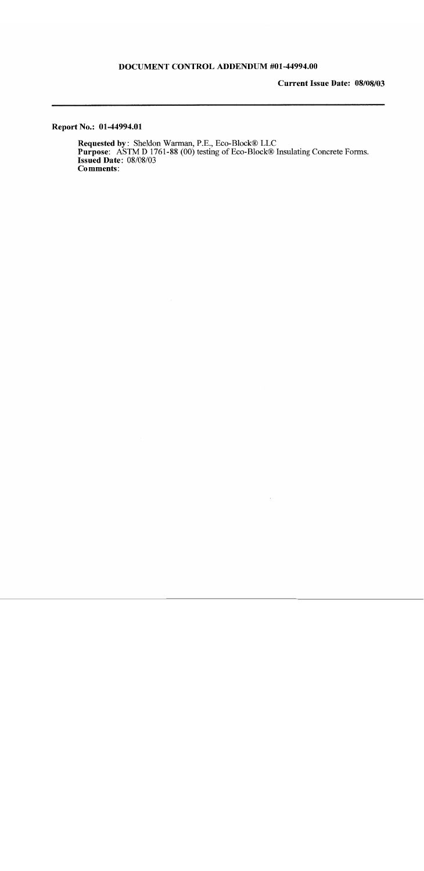#### DOCUMENT CONTROL ADDENDUM #01-44994.00

**Current Issue Date: 08/08/03** 

Report No.: 01-44994.01

Requested by: Sheldon Warman, P.E., Eco-Block® LLC<br>Purpose: ASTM D 1761-88 (00) testing of Eco-Block® Insulating Concrete Forms.<br>Issued Date: 08/08/03 **Comments:**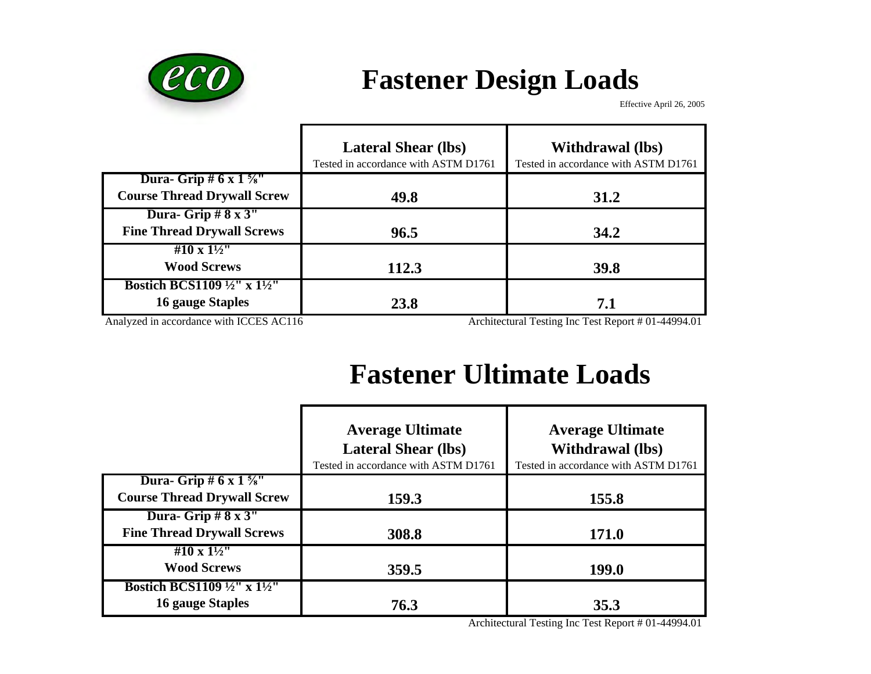

# **Fastener Design Loads**

Effective April 26, 2005

|                                                                                                                                                             | <b>Lateral Shear (lbs)</b><br>Tested in accordance with ASTM D1761 | <b>Withdrawal</b> (lbs)<br>Tested in accordance with ASTM D1761             |
|-------------------------------------------------------------------------------------------------------------------------------------------------------------|--------------------------------------------------------------------|-----------------------------------------------------------------------------|
| <b>Dura-</b> Grip # $6 \times 1\frac{5}{8}$ "<br><b>Course Thread Drywall Screw</b>                                                                         | 49.8                                                               | 31.2                                                                        |
| Dura- Grip $# 8 \times 3"$<br><b>Fine Thread Drywall Screws</b>                                                                                             | 96.5                                                               | 34.2                                                                        |
| #10 x $1\frac{1}{2}$ "<br><b>Wood Screws</b>                                                                                                                | 112.3                                                              | 39.8                                                                        |
| <b>Bostich BCS1109</b> $\frac{1}{2}$ " x $\frac{1}{2}$ "<br><b>16 gauge Staples</b><br>$\Lambda$ is a second in a second second in $LCTCH$ $\Lambda$ $C11C$ | 23.8                                                               | 7.1<br>Analyticational Traction. Less Tract Dreament # 01 $\pm$ 4.400.4 0.1 |

Analyzed in accordance with ICCES AC116 Architectural Testing Inc Test Report # 01-44994.01

# **Fastener Ultimate Loads**

|                                                                                     | <b>Average Ultimate</b><br><b>Lateral Shear (lbs)</b><br>Tested in accordance with ASTM D1761 | <b>Average Ultimate</b><br><b>Withdrawal</b> (lbs)<br>Tested in accordance with ASTM D1761 |
|-------------------------------------------------------------------------------------|-----------------------------------------------------------------------------------------------|--------------------------------------------------------------------------------------------|
| <b>Dura-</b> Grip # $6 \times 1\frac{5}{8}$ "<br><b>Course Thread Drywall Screw</b> | 159.3                                                                                         | 155.8                                                                                      |
| Dura-Grip $# 8 x 3"$<br><b>Fine Thread Drywall Screws</b>                           | 308.8                                                                                         | <b>171.0</b>                                                                               |
| #10 x $1\frac{1}{2}$ "<br><b>Wood Screws</b>                                        | 359.5                                                                                         | <b>199.0</b>                                                                               |
| <b>Bostich BCS1109</b> $\frac{1}{2}$ " x $\frac{1}{2}$ "<br><b>16 gauge Staples</b> | 76.3                                                                                          | 35.3                                                                                       |

Architectural Testing Inc Test Report # 01-44994.01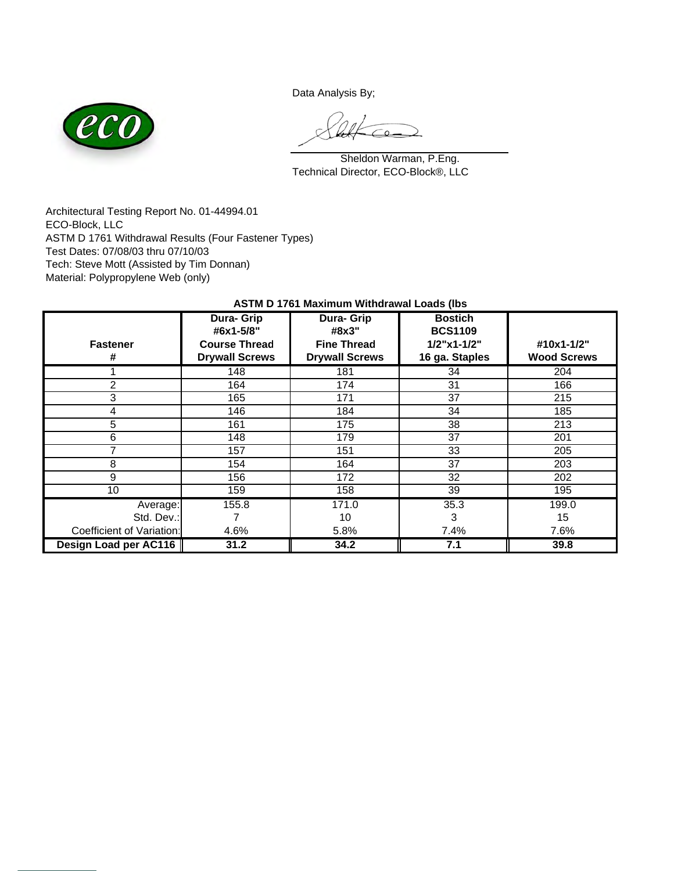Data Analysis By;



Technical Director, ECO-Block®, LLC Sheldon Warman, P.Eng.

Architectural Testing Report No. 01-44994.01 ECO-Block, LLC ASTM D 1761 Withdrawal Results (Four Fastener Types) Test Dates: 07/08/03 thru 07/10/03 Tech: Steve Mott (Assisted by Tim Donnan) Material: Polypropylene Web (only)

| <b>Fastener</b><br>#      | <b>Dura- Grip</b><br>#6x1-5/8"<br><b>Course Thread</b><br><b>Drywall Screws</b> | Dura- Grip<br>#8x3"<br><b>Fine Thread</b><br><b>Drywall Screws</b> | <b>Bostich</b><br><b>BCS1109</b><br>$1/2$ "x1-1/2"<br>16 ga. Staples | #10x1-1/2"<br><b>Wood Screws</b> |
|---------------------------|---------------------------------------------------------------------------------|--------------------------------------------------------------------|----------------------------------------------------------------------|----------------------------------|
|                           | 148                                                                             | 181                                                                | 34                                                                   | 204                              |
| $\mathfrak{p}$            | 164                                                                             | 174                                                                | 31                                                                   | 166                              |
| 3                         | 165                                                                             | 171                                                                | 37                                                                   | 215                              |
| 4                         | 146                                                                             | 184                                                                | 34                                                                   | 185                              |
| 5                         | 161                                                                             | 175                                                                | 38                                                                   | 213                              |
| 6                         | 148                                                                             | 179                                                                | 37                                                                   | 201                              |
| 7                         | 157                                                                             | 151                                                                | 33                                                                   | 205                              |
| 8                         | 154                                                                             | 164                                                                | 37                                                                   | 203                              |
| 9                         | 156                                                                             | 172                                                                | 32                                                                   | 202                              |
| 10                        | 159                                                                             | 158                                                                | 39                                                                   | 195                              |
| Average:                  | 155.8                                                                           | 171.0                                                              | 35.3                                                                 | 199.0                            |
| Std. Dev.:                |                                                                                 | 10                                                                 | 3                                                                    | 15                               |
| Coefficient of Variation: | 4.6%                                                                            | 5.8%                                                               | 7.4%                                                                 | 7.6%                             |
| Design Load per AC116     | 31.2                                                                            | 34.2                                                               | 7.1                                                                  | 39.8                             |

#### **ASTM D 1761 Maximum Withdrawal Loads (lbs**